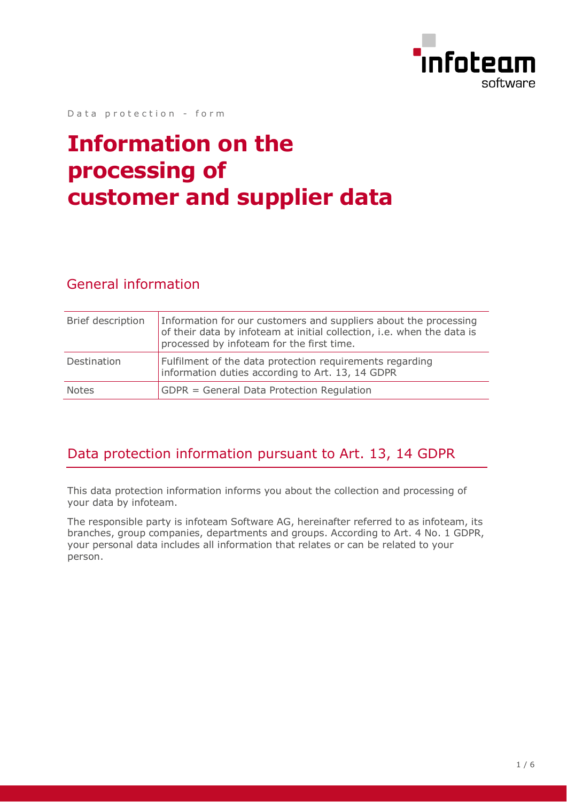

Data protection - form

# **Information on the processing of customer and supplier data**

#### General information

| Brief description | Information for our customers and suppliers about the processing<br>of their data by infoteam at initial collection, i.e. when the data is<br>processed by infoteam for the first time. |
|-------------------|-----------------------------------------------------------------------------------------------------------------------------------------------------------------------------------------|
| Destination       | Fulfilment of the data protection requirements regarding<br>information duties according to Art. 13, 14 GDPR                                                                            |
| Notes             | GDPR = General Data Protection Regulation                                                                                                                                               |

#### Data protection information pursuant to Art. 13, 14 GDPR

This data protection information informs you about the collection and processing of your data by infoteam.

The responsible party is infoteam Software AG, hereinafter referred to as infoteam, its branches, group companies, departments and groups. According to Art. 4 No. 1 GDPR, your personal data includes all information that relates or can be related to your person.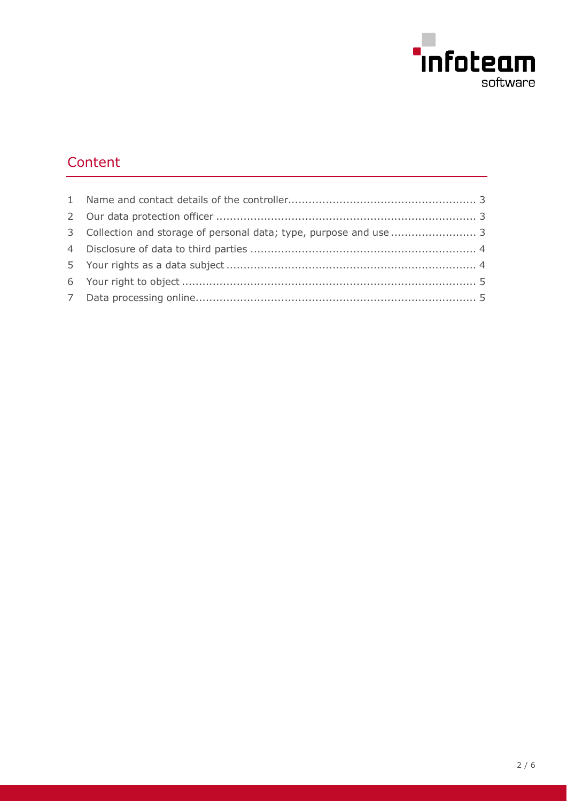

# Content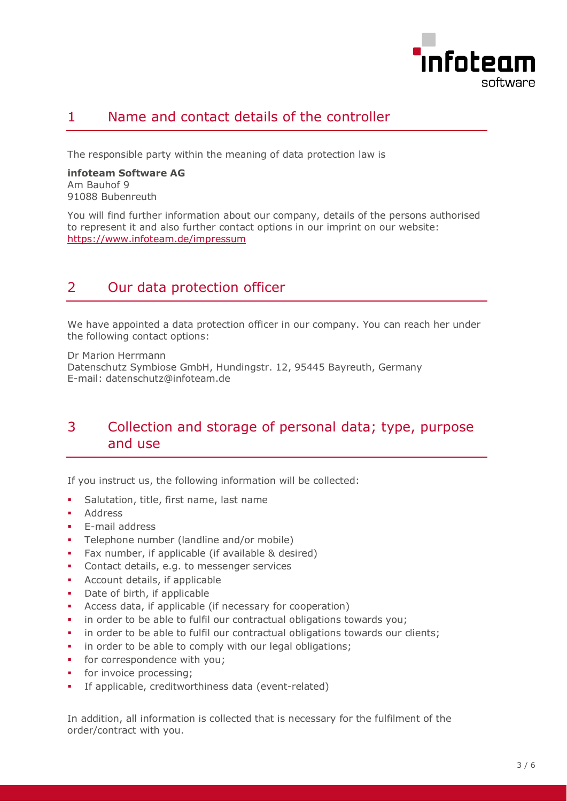

# <span id="page-2-0"></span>1 Name and contact details of the controller

The responsible party within the meaning of data protection law is

**infoteam Software AG** Am Bauhof 9 91088 Bubenreuth

You will find further information about our company, details of the persons authorised to represent it and also further contact options in our imprint on our website: https://www.infoteam.de/impressum

# <span id="page-2-1"></span>2 Our data protection officer

We have appointed a data protection officer in our company. You can reach her under the following contact options:

Dr Marion Herrmann Datenschutz Symbiose GmbH, Hundingstr. 12, 95445 Bayreuth, Germany E-mail: datenschutz@infoteam.de

### <span id="page-2-2"></span>3 Collection and storage of personal data; type, purpose and use

If you instruct us, the following information will be collected:

- Salutation, title, first name, last name
- Address
- **E-mail address**
- Telephone number (landline and/or mobile)
- Fax number, if applicable (if available & desired)
- **Contact details, e.g. to messenger services**
- **Account details, if applicable**
- Date of birth, if applicable
- Access data, if applicable (if necessary for cooperation)
- in order to be able to fulfil our contractual obligations towards you;
- in order to be able to fulfil our contractual obligations towards our clients;
- **i** in order to be able to comply with our legal obligations;
- **for correspondence with you;**
- **for invoice processing:**
- If applicable, creditworthiness data (event-related)

In addition, all information is collected that is necessary for the fulfilment of the order/contract with you.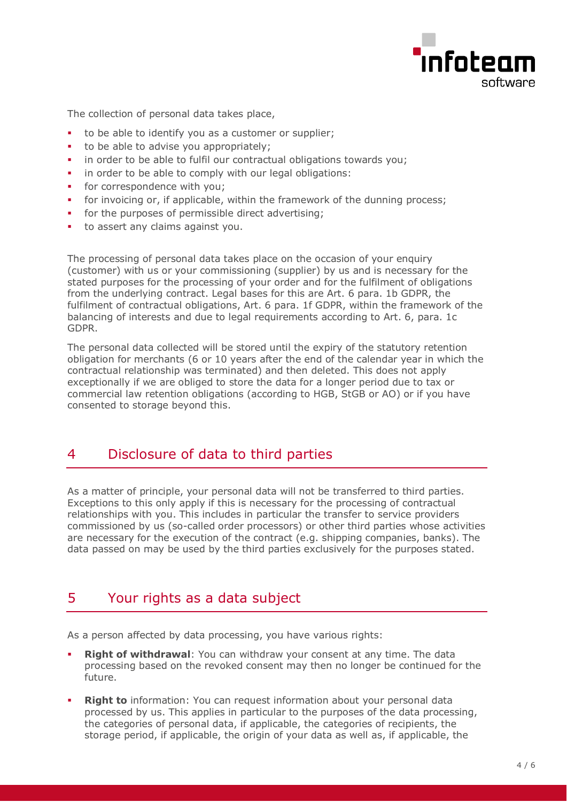

The collection of personal data takes place,

- to be able to identify you as a customer or supplier;
- to be able to advise you appropriately;
- in order to be able to fulfil our contractual obligations towards you;
- **i** in order to be able to comply with our legal obligations:
- for correspondence with you;
- for invoicing or, if applicable, within the framework of the dunning process;
- **for the purposes of permissible direct advertising;**
- to assert any claims against you.

The processing of personal data takes place on the occasion of your enquiry (customer) with us or your commissioning (supplier) by us and is necessary for the stated purposes for the processing of your order and for the fulfilment of obligations from the underlying contract. Legal bases for this are Art. 6 para. 1b GDPR, the fulfilment of contractual obligations, Art. 6 para. 1f GDPR, within the framework of the balancing of interests and due to legal requirements according to Art. 6, para. 1c GDPR.

The personal data collected will be stored until the expiry of the statutory retention obligation for merchants (6 or 10 years after the end of the calendar year in which the contractual relationship was terminated) and then deleted. This does not apply exceptionally if we are obliged to store the data for a longer period due to tax or commercial law retention obligations (according to HGB, StGB or AO) or if you have consented to storage beyond this.

#### <span id="page-3-0"></span>4 Disclosure of data to third parties

As a matter of principle, your personal data will not be transferred to third parties. Exceptions to this only apply if this is necessary for the processing of contractual relationships with you. This includes in particular the transfer to service providers commissioned by us (so-called order processors) or other third parties whose activities are necessary for the execution of the contract (e.g. shipping companies, banks). The data passed on may be used by the third parties exclusively for the purposes stated.

# <span id="page-3-1"></span>5 Your rights as a data subject

As a person affected by data processing, you have various rights:

- **Right of withdrawal**: You can withdraw your consent at any time. The data processing based on the revoked consent may then no longer be continued for the future.
- **Right to** information: You can request information about your personal data processed by us. This applies in particular to the purposes of the data processing, the categories of personal data, if applicable, the categories of recipients, the storage period, if applicable, the origin of your data as well as, if applicable, the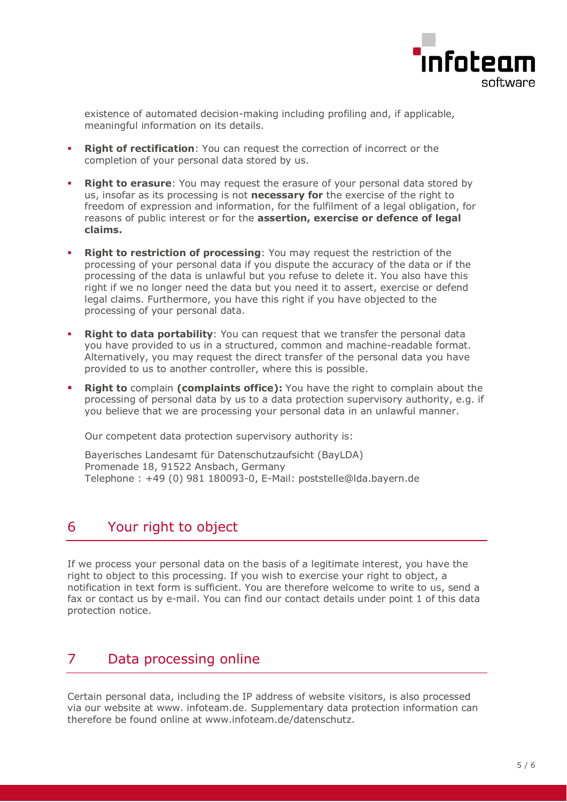

existence of automated decision-making including profiling and, if applicable, meaningful information on its details.

- **Right of rectification**: You can request the correction of incorrect or the completion of your personal data stored by us.
- **Right to erasure**: You may request the erasure of your personal data stored by us, insofar as its processing is not **necessary for** the exercise of the right to freedom of expression and information, for the fulfilment of a legal obligation, for reasons of public interest or for the **assertion, exercise or defence of legal claims.**
- **Right to restriction of processing**: You may request the restriction of the processing of your personal data if you dispute the accuracy of the data or if the processing of the data is unlawful but you refuse to delete it. You also have this right if we no longer need the data but you need it to assert, exercise or defend legal claims. Furthermore, you have this right if you have objected to the processing of your personal data.
- **Right to data portability**: You can request that we transfer the personal data you have provided to us in a structured, common and machine-readable format. Alternatively, you may request the direct transfer of the personal data you have provided to us to another controller, where this is possible.
- **Right to** complain **(complaints office):** You have the right to complain about the processing of personal data by us to a data protection supervisory authority, e.g. if you believe that we are processing your personal data in an unlawful manner.

Our competent data protection supervisory authority is:

Bayerisches Landesamt für Datenschutzaufsicht (BayLDA) Promenade 18, 91522 Ansbach, Germany Telephone : +49 (0) 981 180093-0, E-Mail: poststelle@lda.bayern.de

# <span id="page-4-0"></span>6 Your right to object

If we process your personal data on the basis of a legitimate interest, you have the right to object to this processing. If you wish to exercise your right to object, a notification in text form is sufficient. You are therefore welcome to write to us, send a fax or contact us by e-mail. You can find our contact details under point 1 of this data protection notice.

# <span id="page-4-1"></span>7 Data processing online

Certain personal data, including the IP address of website visitors, is also processed via our website at www. infoteam.de. Supplementary data protection information can therefore be found online at www.infoteam.de/datenschutz.